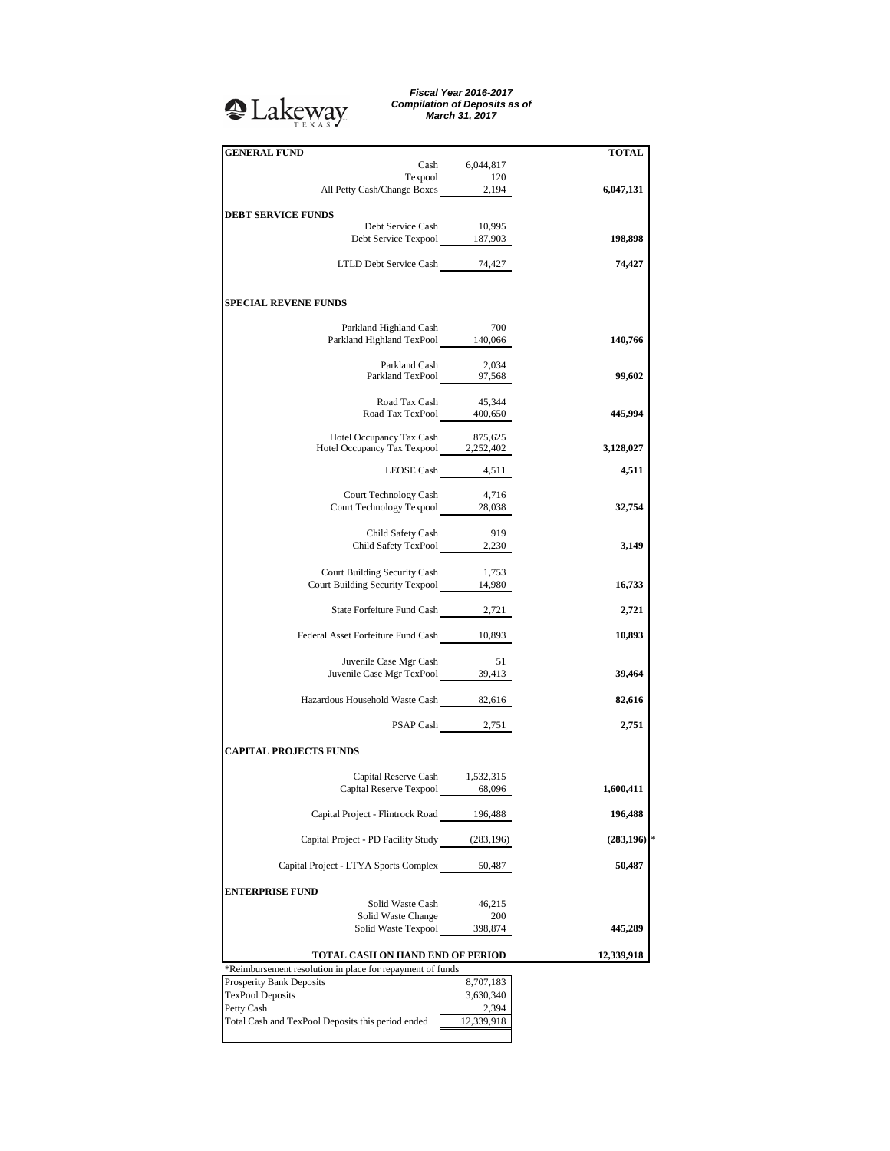## <sup>2</sup>Lakeway

*Fiscal Year 2016-2017 Compilation of Deposits as of March 31, 2017*

| <b>GENERAL FUND</b>                                                          |                    | <b>TOTAL</b> |
|------------------------------------------------------------------------------|--------------------|--------------|
|                                                                              | Cash 6,044,817     |              |
| Texpool                                                                      | 120                |              |
| All Petty Cash/Change Boxes 2,194                                            |                    | 6,047,131    |
|                                                                              |                    |              |
| <b>DEBT SERVICE FUNDS</b>                                                    | 10,995             |              |
| Debt Service Cash<br>Debt Service Texpool 187,903                            |                    | 198,898      |
|                                                                              |                    |              |
| LTLD Debt Service Cash 74,427                                                |                    | 74,427       |
|                                                                              |                    |              |
| <b>SPECIAL REVENE FUNDS</b>                                                  |                    |              |
|                                                                              |                    |              |
| Parkland Highland Cash<br>Parkland Highland TexPool 140,066                  | 700                | 140,766      |
|                                                                              |                    |              |
| Parkland Cash                                                                | 2,034              |              |
| Parkland Cash 2,034<br>Parkland TexPool 97,568                               |                    | 99,602       |
|                                                                              |                    |              |
| Road Tax Cash                                                                | 45,344             |              |
| Road Tax TexPool 400,650                                                     |                    | 445,994      |
|                                                                              | 875,625            |              |
| Hotel Occupancy Tax Cash 875,625<br>Hotel Occupancy Tax Texpool 2,252,402    |                    | 3,128,027    |
|                                                                              |                    |              |
|                                                                              | LEOSE Cash 4,511   | 4,511        |
| Court Technology Cash                                                        | 4,716              |              |
| Court Technology Texpool 28,038                                              |                    | 32,754       |
|                                                                              |                    |              |
| Child Safety Cash                                                            | 919                |              |
| Child Safety TexPool 2,230                                                   |                    | 3,149        |
|                                                                              |                    |              |
| Court Building Security Cash 1,753<br>Court Building Security Texpool 14,980 |                    |              |
|                                                                              |                    | 16,733       |
| State Forfeiture Fund Cash 2,721                                             |                    | 2,721        |
|                                                                              |                    |              |
| Federal Asset Forfeiture Fund Cash 10,893                                    |                    | 10,893       |
|                                                                              |                    |              |
| Juvenile Case Mgr Cash                                                       | 51                 |              |
| Juvenile Case Mgr TexPool 39,413                                             |                    | 39,464       |
|                                                                              |                    |              |
| Hazardous Household Waste Cash 82,616                                        |                    | 82,616       |
|                                                                              |                    | 2,751        |
|                                                                              | PSAP Cash 2,751    |              |
| <b>CAPITAL PROJECTS FUNDS</b>                                                |                    |              |
| Capital Reserve Cash 1,532,315                                               |                    |              |
| Capital Reserve Texpool                                                      | 68,096             | 1,600,411    |
|                                                                              |                    |              |
| Capital Project - Flintrock Road 196,488                                     |                    | 196,488      |
|                                                                              |                    |              |
| Capital Project - PD Facility Study (283,196)                                |                    | (283, 196)   |
|                                                                              |                    |              |
| Capital Project - LTYA Sports Complex                                        | 50,487             | 50,487       |
| <b>ENTERPRISE FUND</b>                                                       |                    |              |
| Solid Waste Cash                                                             | 46,215             |              |
| Solid Waste Change                                                           | 200                |              |
| Solid Waste Texpool                                                          | 398,874            | 445,289      |
|                                                                              |                    |              |
| TOTAL CASH ON HAND END OF PERIOD                                             | 12,339,918         |              |
| *Reimbursement resolution in place for repayment of funds                    |                    |              |
| Prosperity Bank Deposits                                                     | 8,707,183          |              |
| <b>TexPool Deposits</b><br>Petty Cash                                        | 3,630,340<br>2,394 |              |
| Total Cash and TexPool Deposits this period ended                            | 12,339,918         |              |
|                                                                              |                    |              |
|                                                                              |                    |              |